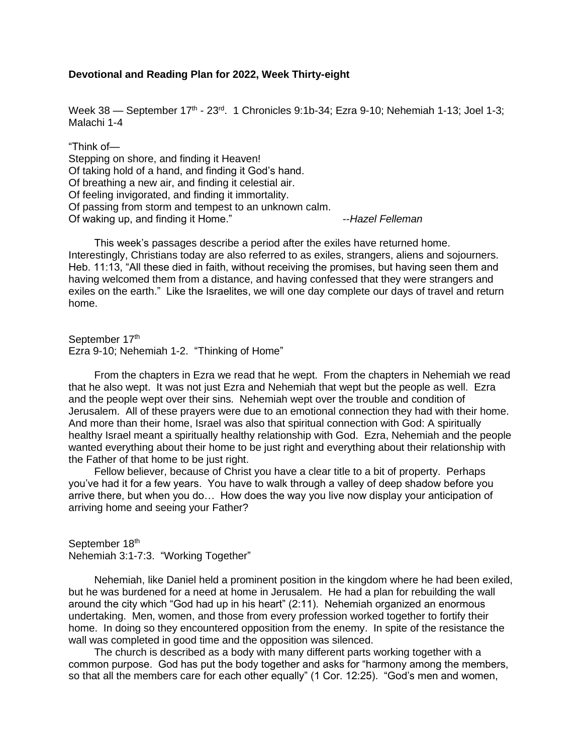## **Devotional and Reading Plan for 2022, Week Thirty-eight**

Week 38 — September 17<sup>th</sup> - 23<sup>rd</sup>. 1 Chronicles 9:1b-34; Ezra 9-10; Nehemiah 1-13; Joel 1-3; Malachi 1-4

"Think of— Stepping on shore, and finding it Heaven! Of taking hold of a hand, and finding it God's hand. Of breathing a new air, and finding it celestial air. Of feeling invigorated, and finding it immortality. Of passing from storm and tempest to an unknown calm. Of waking up, and finding it Home." The Contract Contract Contract August 2016 waking up, and finding it Home."

This week's passages describe a period after the exiles have returned home. Interestingly, Christians today are also referred to as exiles, strangers, aliens and sojourners. Heb. 11:13, "All these died in faith, without receiving the promises, but having seen them and having welcomed them from a distance, and having confessed that they were strangers and exiles on the earth." Like the Israelites, we will one day complete our days of travel and return home.

September 17th Ezra 9-10; Nehemiah 1-2. "Thinking of Home"

From the chapters in Ezra we read that he wept. From the chapters in Nehemiah we read that he also wept. It was not just Ezra and Nehemiah that wept but the people as well. Ezra and the people wept over their sins. Nehemiah wept over the trouble and condition of Jerusalem. All of these prayers were due to an emotional connection they had with their home. And more than their home, Israel was also that spiritual connection with God: A spiritually healthy Israel meant a spiritually healthy relationship with God. Ezra, Nehemiah and the people wanted everything about their home to be just right and everything about their relationship with the Father of that home to be just right.

Fellow believer, because of Christ you have a clear title to a bit of property. Perhaps you've had it for a few years. You have to walk through a valley of deep shadow before you arrive there, but when you do… How does the way you live now display your anticipation of arriving home and seeing your Father?

September 18th Nehemiah 3:1-7:3. "Working Together"

Nehemiah, like Daniel held a prominent position in the kingdom where he had been exiled, but he was burdened for a need at home in Jerusalem. He had a plan for rebuilding the wall around the city which "God had up in his heart" (2:11). Nehemiah organized an enormous undertaking. Men, women, and those from every profession worked together to fortify their home. In doing so they encountered opposition from the enemy. In spite of the resistance the wall was completed in good time and the opposition was silenced.

The church is described as a body with many different parts working together with a common purpose. God has put the body together and asks for "harmony among the members, so that all the members care for each other equally" (1 Cor. 12:25). "God's men and women,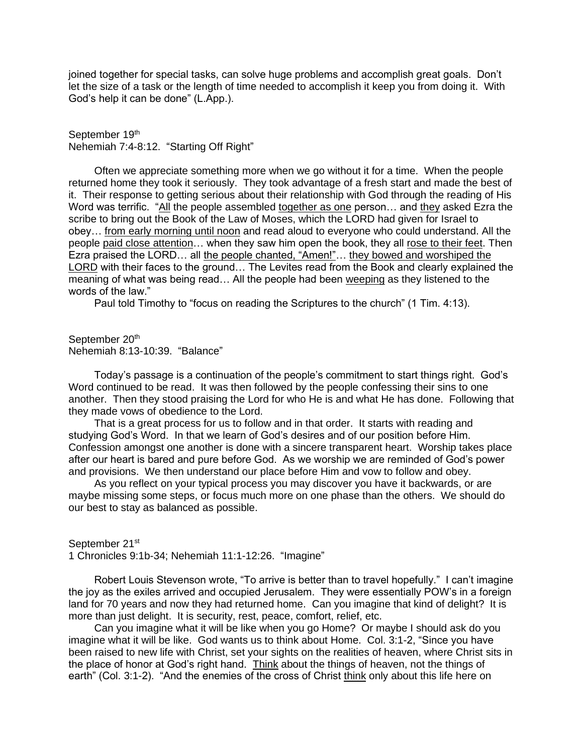joined together for special tasks, can solve huge problems and accomplish great goals. Don't let the size of a task or the length of time needed to accomplish it keep you from doing it. With God's help it can be done" (L.App.).

September 19th Nehemiah 7:4-8:12. "Starting Off Right"

Often we appreciate something more when we go without it for a time. When the people returned home they took it seriously. They took advantage of a fresh start and made the best of it. Their response to getting serious about their relationship with God through the reading of His Word was terrific. "All the people assembled together as one person… and they asked Ezra the scribe to bring out the Book of the Law of Moses, which the LORD had given for Israel to obey… from early morning until noon and read aloud to everyone who could understand. All the people paid close attention… when they saw him open the book, they all rose to their feet. Then Ezra praised the LORD... all the people chanted, "Amen!"... they bowed and worshiped the LORD with their faces to the ground… The Levites read from the Book and clearly explained the meaning of what was being read… All the people had been weeping as they listened to the words of the law."

Paul told Timothy to "focus on reading the Scriptures to the church" (1 Tim. 4:13).

September 20<sup>th</sup> Nehemiah 8:13-10:39. "Balance"

Today's passage is a continuation of the people's commitment to start things right. God's Word continued to be read. It was then followed by the people confessing their sins to one another. Then they stood praising the Lord for who He is and what He has done. Following that they made vows of obedience to the Lord.

That is a great process for us to follow and in that order. It starts with reading and studying God's Word. In that we learn of God's desires and of our position before Him. Confession amongst one another is done with a sincere transparent heart. Worship takes place after our heart is bared and pure before God. As we worship we are reminded of God's power and provisions. We then understand our place before Him and vow to follow and obey.

As you reflect on your typical process you may discover you have it backwards, or are maybe missing some steps, or focus much more on one phase than the others. We should do our best to stay as balanced as possible.

September 21<sup>st</sup>

1 Chronicles 9:1b-34; Nehemiah 11:1-12:26. "Imagine"

Robert Louis Stevenson wrote, "To arrive is better than to travel hopefully." I can't imagine the joy as the exiles arrived and occupied Jerusalem. They were essentially POW's in a foreign land for 70 years and now they had returned home. Can you imagine that kind of delight? It is more than just delight. It is security, rest, peace, comfort, relief, etc.

Can you imagine what it will be like when you go Home? Or maybe I should ask do you imagine what it will be like. God wants us to think about Home. Col. 3:1-2, "Since you have been raised to new life with Christ, set your sights on the realities of heaven, where Christ sits in the place of honor at God's right hand. Think about the things of heaven, not the things of earth" (Col. 3:1-2). "And the enemies of the cross of Christ think only about this life here on